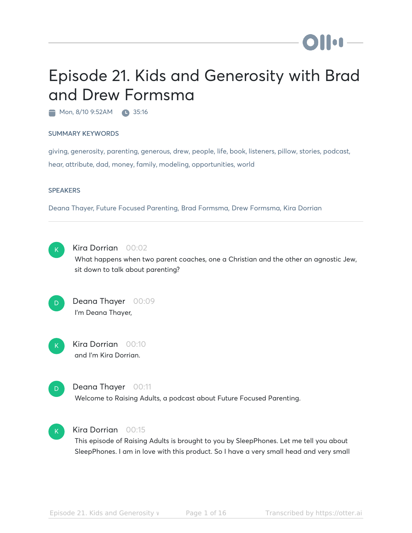# **DII:** 1-

# Episode 21. Kids and Generosity with Brad and Drew Formsma

Mon, 8/10 9:52AM 35:16

#### SUMMARY KEYWORDS

giving, generosity, parenting, generous, drew, people, life, book, listeners, pillow, stories, podcast, hear, attribute, dad, money, family, modeling, opportunities, world

#### **SPEAKERS**

Deana Thayer, Future Focused Parenting, Brad Formsma, Drew Formsma, Kira Dorrian



# Kira Dorrian 00:02

What happens when two parent coaches, one a Christian and the other an agnostic Jew, sit down to talk about parenting?



# Deana Thayer 00:09 I'm Deana Thayer,



Kira Dorrian 00:10 and I'm Kira Dorrian.



# Deana Thayer 00:11

Welcome to Raising Adults, a podcast about Future Focused Parenting.



# Kira Dorrian 00:15

This episode of Raising Adults is brought to you by SleepPhones. Let me tell you about SleepPhones. I am in love with this product. So I have a very small head and very small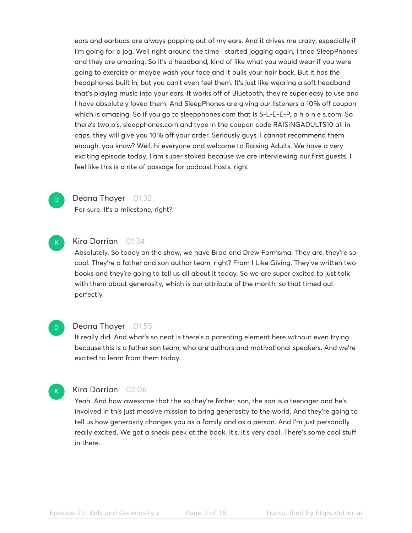ears and earbuds are always popping out of my ears. And it drives me crazy, especially if I'm going for a jog. Well right around the time I started jogging again, I tried SleepPhones and they are amazing. So it's a headband, kind of like what you would wear if you were going to exercise or maybe wash your face and it pulls your hair back. But it has the headphones built in, but you can't even feel them. It's just like wearing a soft headband that's playing music into your ears. It works off of Bluetooth, they're super easy to use and I have absolutely loved them. And SleepPhones are giving our listeners a 10% off coupon which is amazing. So if you go to sleepphones.com that is S-L-E-E-P, p h o n e s.com. So there's two p's, sleepphones.com and type in the coupon code RAISINGADULTS10 all in caps, they will give you 10% off your order. Seriously guys, I cannot recommend them enough, you know? Well, hi everyone and welcome to Raising Adults. We have a very exciting episode today. I am super stoked because we are interviewing our first guests. I feel like this is a rite of passage for podcast hosts, right



### Deana Thayer 01:32

For sure. It's a milestone, right?



# Kira Dorrian 01:34

Absolutely. So today on the show, we have Brad and Drew Formsma. They are, they're so cool. They're a father and son author team, right? From I Like Giving. They've written two books and they're going to tell us all about it today. So we are super excited to just talk with them about generosity, which is our attribute of the month, so that timed out perfectly.



#### Deana Thayer 01:55

It really did. And what's so neat is there's a parenting element here without even trying because this is a father son team, who are authors and motivational speakers. And we're excited to learn from them today.



#### Kira Dorrian 02:06

Yeah. And how awesome that the so they're father, son, the son is a teenager and he's involved in this just massive mission to bring generosity to the world. And they're going to tell us how generosity changes you as a family and as a person. And I'm just personally really excited. We got a sneak peek at the book. It's, it's very cool. There's some cool stuff in there.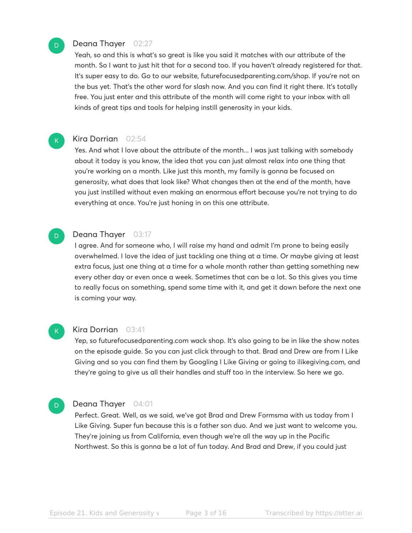# Deana Thayer 02:27

D

 $\mathsf{K}_{\scriptscriptstyle{+}}$ 

D.

Yeah, so and this is what's so great is like you said it matches with our attribute of the month. So I want to just hit that for a second too. If you haven't already registered for that. It's super easy to do. Go to our website, futurefocusedparenting.com/shop. If you're not on the bus yet. That's the other word for slash now. And you can find it right there. It's totally free. You just enter and this attribute of the month will come right to your inbox with all kinds of great tips and tools for helping instill generosity in your kids.

#### Kira Dorrian 02:54

Yes. And what I love about the attribute of the month... I was just talking with somebody about it today is you know, the idea that you can just almost relax into one thing that you're working on a month. Like just this month, my family is gonna be focused on generosity, what does that look like? What changes then at the end of the month, have you just instilled without even making an enormous effort because you're not trying to do everything at once. You're just honing in on this one attribute.

## Deana Thayer 03:17

I agree. And for someone who, I will raise my hand and admit I'm prone to being easily overwhelmed. I love the idea of just tackling one thing at a time. Or maybe giving at least extra focus, just one thing at a time for a whole month rather than getting something new every other day or even once a week. Sometimes that can be a lot. So this gives you time to really focus on something, spend some time with it, and get it down before the next one is coming your way.



#### Kira Dorrian 03:41

Yep, so futurefocusedparenting.com wack shop. It's also going to be in like the show notes on the episode guide. So you can just click through to that. Brad and Drew are from I Like Giving and so you can find them by Googling I Like Giving or going to ilikegiving.com, and they're going to give us all their handles and stuff too in the interview. So here we go.

# D.

#### Deana Thayer 04:01

Perfect. Great. Well, as we said, we've got Brad and Drew Formsma with us today from I Like Giving. Super fun because this is a father son duo. And we just want to welcome you. They're joining us from California, even though we're all the way up in the Pacific Northwest. So this is gonna be a lot of fun today. And Brad and Drew, if you could just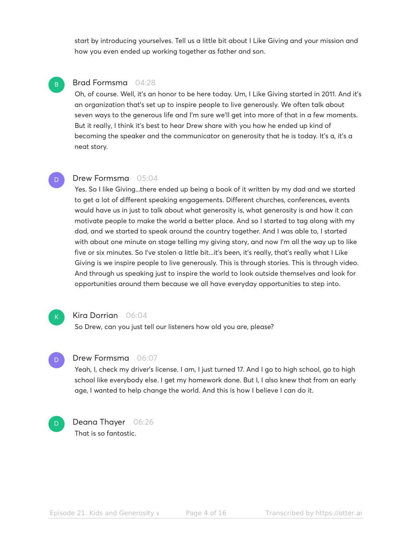start by introducing yourselves. Tell us a little bit about I Like Giving and your mission and how you even ended up working together as father and son.

# Brad Formsma 04:28

B

D.

Oh, of course. Well, it's an honor to be here today. Um, I Like Giving started in 2011. And it's an organization that's set up to inspire people to live generously. We often talk about seven ways to the generous life and I'm sure we'll get into more of that in a few moments. But it really, I think it's best to hear Drew share with you how he ended up kind of becoming the speaker and the communicator on generosity that he is today. It's a, it's a neat story.

# Drew Formsma 05:04

Yes. So I like Giving...there ended up being a book of it written by my dad and we started to get a lot of different speaking engagements. Different churches, conferences, events would have us in just to talk about what generosity is, what generosity is and how it can motivate people to make the world a better place. And so I started to tag along with my dad, and we started to speak around the country together. And I was able to, I started with about one minute on stage telling my giving story, and now I'm all the way up to like five or six minutes. So I've stolen a little bit...it's been, it's really, that's really what I Like Giving is we inspire people to live generously. This is through stories. This is through video. And through us speaking just to inspire the world to look outside themselves and look for opportunities around them because we all have everyday opportunities to step into.

#### Kira Dorrian 06:04

So Drew, can you just tell our listeners how old you are, please?

#### Drew Formsma 06:07

Yeah, I, check my driver's license. I am, I just turned 17. And I go to high school, go to high school like everybody else. I get my homework done. But I, I also knew that from an early age, I wanted to help change the world. And this is how I believe I can do it.



 $\overline{\mathbf{K}}$  .

D

Deana Thayer 06:26 That is so fantastic.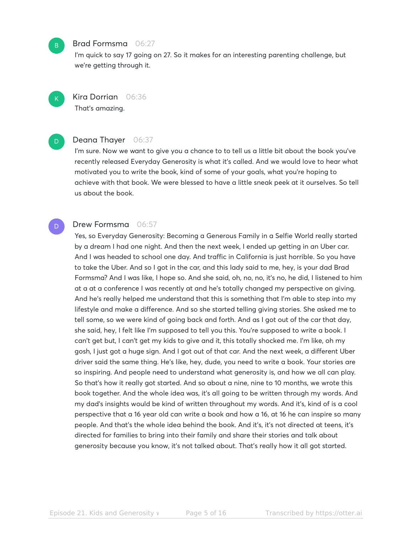#### Brad Formsma 06:27

I'm quick to say 17 going on 27. So it makes for an interesting parenting challenge, but we're getting through it.

Kira Dorrian 06:36 That's amazing.

B

 $\mathsf{K}_{\scriptscriptstyle{+}}$ 

D

D

Deana Thayer 06:37

I'm sure. Now we want to give you a chance to to tell us a little bit about the book you've recently released Everyday Generosity is what it's called. And we would love to hear what motivated you to write the book, kind of some of your goals, what you're hoping to achieve with that book. We were blessed to have a little sneak peek at it ourselves. So tell us about the book.

# Drew Formsma 06:57

Yes, so Everyday Generosity: Becoming a Generous Family in a Selfie World really started by a dream I had one night. And then the next week, I ended up getting in an Uber car. And I was headed to school one day. And traffic in California is just horrible. So you have to take the Uber. And so I got in the car, and this lady said to me, hey, is your dad Brad Formsma? And I was like, I hope so. And she said, oh, no, no, it's no, he did, I listened to him at a at a conference I was recently at and he's totally changed my perspective on giving. And he's really helped me understand that this is something that I'm able to step into my lifestyle and make a difference. And so she started telling giving stories. She asked me to tell some, so we were kind of going back and forth. And as I got out of the car that day, she said, hey, I felt like I'm supposed to tell you this. You're supposed to write a book. I can't get but, I can't get my kids to give and it, this totally shocked me. I'm like, oh my gosh, I just got a huge sign. And I got out of that car. And the next week, a different Uber driver said the same thing. He's like, hey, dude, you need to write a book. Your stories are so inspiring. And people need to understand what generosity is, and how we all can play. So that's how it really got started. And so about a nine, nine to 10 months, we wrote this book together. And the whole idea was, it's all going to be written through my words. And my dad's insights would be kind of written throughout my words. And it's, kind of is a cool perspective that a 16 year old can write a book and how a 16, at 16 he can inspire so many people. And that's the whole idea behind the book. And it's, it's not directed at teens, it's directed for families to bring into their family and share their stories and talk about generosity because you know, it's not talked about. That's really how it all got started.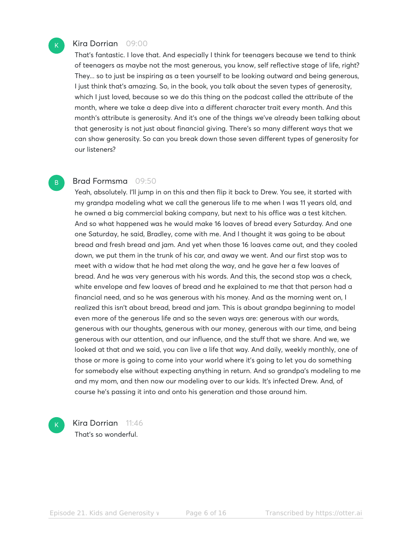# Kira Dorrian 09:00

 $\mathsf{K}_{\scriptscriptstyle{+}}$ 

B

That's fantastic. I love that. And especially I think for teenagers because we tend to think of teenagers as maybe not the most generous, you know, self reflective stage of life, right? They... so to just be inspiring as a teen yourself to be looking outward and being generous, I just think that's amazing. So, in the book, you talk about the seven types of generosity, which I just loved, because so we do this thing on the podcast called the attribute of the month, where we take a deep dive into a different character trait every month. And this month's attribute is generosity. And it's one of the things we've already been talking about that generosity is not just about financial giving. There's so many different ways that we can show generosity. So can you break down those seven different types of generosity for our listeners?

# Brad Formsma 09:50

Yeah, absolutely. I'll jump in on this and then flip it back to Drew. You see, it started with my grandpa modeling what we call the generous life to me when I was 11 years old, and he owned a big commercial baking company, but next to his office was a test kitchen. And so what happened was he would make 16 loaves of bread every Saturday. And one one Saturday, he said, Bradley, come with me. And I thought it was going to be about bread and fresh bread and jam. And yet when those 16 loaves came out, and they cooled down, we put them in the trunk of his car, and away we went. And our first stop was to meet with a widow that he had met along the way, and he gave her a few loaves of bread. And he was very generous with his words. And this, the second stop was a check, white envelope and few loaves of bread and he explained to me that that person had a financial need, and so he was generous with his money. And as the morning went on, I realized this isn't about bread, bread and jam. This is about grandpa beginning to model even more of the generous life and so the seven ways are: generous with our words, generous with our thoughts, generous with our money, generous with our time, and being generous with our attention, and our influence, and the stuff that we share. And we, we looked at that and we said, you can live a life that way. And daily, weekly monthly, one of those or more is going to come into your world where it's going to let you do something for somebody else without expecting anything in return. And so grandpa's modeling to me and my mom, and then now our modeling over to our kids. It's infected Drew. And, of course he's passing it into and onto his generation and those around him.

Kira Dorrian 11:46 That's so wonderful.

 $\mathsf{K}_{\scriptscriptstyle{+}}$ 

Episode 21. Kids and Generosity vector Brade 6 of 16 Transcribed by https://otter.ai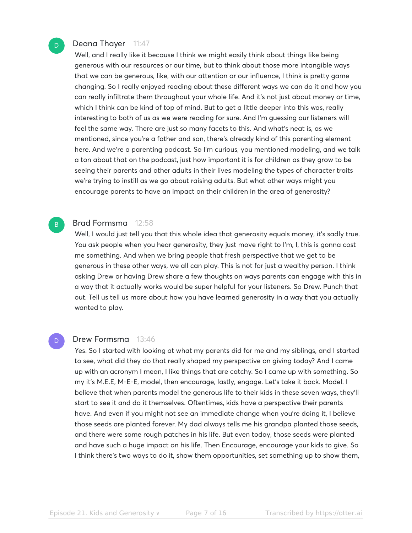# Deana Thayer 11:47

Well, and I really like it because I think we might easily think about things like being generous with our resources or our time, but to think about those more intangible ways that we can be generous, like, with our attention or our influence, I think is pretty game changing. So I really enjoyed reading about these different ways we can do it and how you can really infiltrate them throughout your whole life. And it's not just about money or time, which I think can be kind of top of mind. But to get a little deeper into this was, really interesting to both of us as we were reading for sure. And I'm guessing our listeners will feel the same way. There are just so many facets to this. And what's neat is, as we mentioned, since you're a father and son, there's already kind of this parenting element here. And we're a parenting podcast. So I'm curious, you mentioned modeling, and we talk a ton about that on the podcast, just how important it is for children as they grow to be seeing their parents and other adults in their lives modeling the types of character traits we're trying to instill as we go about raising adults. But what other ways might you encourage parents to have an impact on their children in the area of generosity?

# Brad Formsma 12:58

Well, I would just tell you that this whole idea that generosity equals money, it's sadly true. You ask people when you hear generosity, they just move right to I'm, I, this is gonna cost me something. And when we bring people that fresh perspective that we get to be generous in these other ways, we all can play. This is not for just a wealthy person. I think asking Drew or having Drew share a few thoughts on ways parents can engage with this in a way that it actually works would be super helpful for your listeners. So Drew. Punch that out. Tell us tell us more about how you have learned generosity in a way that you actually wanted to play.

#### Drew Formsma 13:46

Yes. So I started with looking at what my parents did for me and my siblings, and I started to see, what did they do that really shaped my perspective on giving today? And I came up with an acronym I mean, I like things that are catchy. So I came up with something. So my it's M.E.E, M-E-E, model, then encourage, lastly, engage. Let's take it back. Model. I believe that when parents model the generous life to their kids in these seven ways, they'll start to see it and do it themselves. Oftentimes, kids have a perspective their parents have. And even if you might not see an immediate change when you're doing it, I believe those seeds are planted forever. My dad always tells me his grandpa planted those seeds, and there were some rough patches in his life. But even today, those seeds were planted and have such a huge impact on his life. Then Encourage, encourage your kids to give. So I think there's two ways to do it, show them opportunities, set something up to show them,

 $\overline{D}$ 

B

D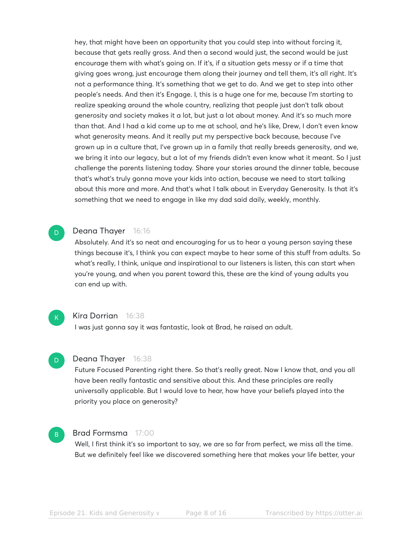hey, that might have been an opportunity that you could step into without forcing it, because that gets really gross. And then a second would just, the second would be just encourage them with what's going on. If it's, if a situation gets messy or if a time that giving goes wrong, just encourage them along their journey and tell them, it's all right. It's not a performance thing. It's something that we get to do. And we get to step into other people's needs. And then it's Engage. I, this is a huge one for me, because I'm starting to realize speaking around the whole country, realizing that people just don't talk about generosity and society makes it a lot, but just a lot about money. And it's so much more than that. And I had a kid come up to me at school, and he's like, Drew, I don't even know what generosity means. And it really put my perspective back because, because I've grown up in a culture that, I've grown up in a family that really breeds generosity, and we, we bring it into our legacy, but a lot of my friends didn't even know what it meant. So I just challenge the parents listening today. Share your stories around the dinner table, because that's what's truly gonna move your kids into action, because we need to start talking about this more and more. And that's what I talk about in Everyday Generosity. Is that it's something that we need to engage in like my dad said daily, weekly, monthly.

# Deana Thayer 16:16

Absolutely. And it's so neat and encouraging for us to hear a young person saying these things because it's, I think you can expect maybe to hear some of this stuff from adults. So what's really, I think, unique and inspirational to our listeners is listen, this can start when you're young, and when you parent toward this, these are the kind of young adults you can end up with.

# $K$

D

B

D

#### Kira Dorrian 16:38

I was just gonna say it was fantastic, look at Brad, he raised an adult.

# Deana Thayer 16:38

Future Focused Parenting right there. So that's really great. Now I know that, and you all have been really fantastic and sensitive about this. And these principles are really universally applicable. But I would love to hear, how have your beliefs played into the priority you place on generosity?

# Brad Formsma 17:00

Well, I first think it's so important to say, we are so far from perfect, we miss all the time. But we definitely feel like we discovered something here that makes your life better, your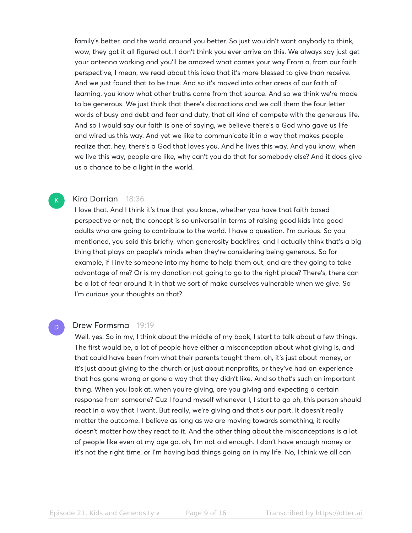family's better, and the world around you better. So just wouldn't want anybody to think, wow, they got it all figured out. I don't think you ever arrive on this. We always say just get your antenna working and you'll be amazed what comes your way From a, from our faith perspective, I mean, we read about this idea that it's more blessed to give than receive. And we just found that to be true. And so it's moved into other areas of our faith of learning, you know what other truths come from that source. And so we think we're made to be generous. We just think that there's distractions and we call them the four letter words of busy and debt and fear and duty, that all kind of compete with the generous life. And so I would say our faith is one of saying, we believe there's a God who gave us life and wired us this way. And yet we like to communicate it in a way that makes people realize that, hey, there's a God that loves you. And he lives this way. And you know, when we live this way, people are like, why can't you do that for somebody else? And it does give us a chance to be a light in the world.

#### Kira Dorrian 18:36

 $\mathsf{K}_{\scriptscriptstyle{+}}$ 

D

I love that. And I think it's true that you know, whether you have that faith based perspective or not, the concept is so universal in terms of raising good kids into good adults who are going to contribute to the world. I have a question. I'm curious. So you mentioned, you said this briefly, when generosity backfires, and I actually think that's a big thing that plays on people's minds when they're considering being generous. So for example, if I invite someone into my home to help them out, and are they going to take advantage of me? Or is my donation not going to go to the right place? There's, there can be a lot of fear around it in that we sort of make ourselves vulnerable when we give. So I'm curious your thoughts on that?

#### Drew Formsma 19:19

Well, yes. So in my, I think about the middle of my book, I start to talk about a few things. The first would be, a lot of people have either a misconception about what giving is, and that could have been from what their parents taught them, oh, it's just about money, or it's just about giving to the church or just about nonprofits, or they've had an experience that has gone wrong or gone a way that they didn't like. And so that's such an important thing. When you look at, when you're giving, are you giving and expecting a certain response from someone? Cuz I found myself whenever I, I start to go oh, this person should react in a way that I want. But really, we're giving and that's our part. It doesn't really matter the outcome. I believe as long as we are moving towards something, it really doesn't matter how they react to it. And the other thing about the misconceptions is a lot of people like even at my age go, oh, I'm not old enough. I don't have enough money or it's not the right time, or I'm having bad things going on in my life. No, I think we all can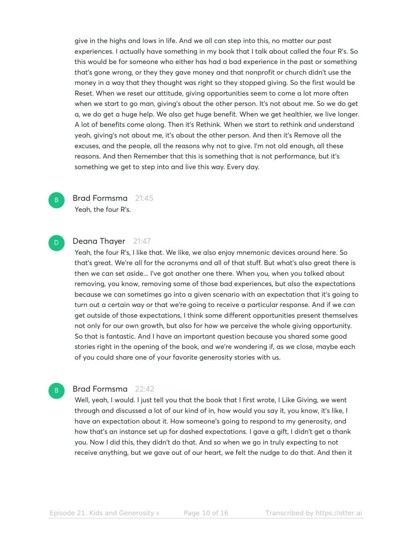give in the highs and lows in life. And we all can step into this, no matter our past experiences. I actually have something in my book that I talk about called the four R's. So this would be for someone who either has had a bad experience in the past or something that's gone wrong, or they they gave money and that nonprofit or church didn't use the money in a way that they thought was right so they stopped giving. So the first would be Reset. When we reset our attitude, giving opportunities seem to come a lot more often when we start to go man, giving's about the other person. It's not about me. So we do get a, we do get a huge help. We also get huge benefit. When we get healthier, we live longer. A lot of benefits come along. Then it's Rethink. When we start to rethink and understand yeah, giving's not about me, it's about the other person. And then it's Remove all the excuses, and the people, all the reasons why not to give. I'm not old enough, all these reasons. And then Remember that this is something that is not performance, but it's something we get to step into and live this way. Every day.



# Brad Formsma 21:45

Yeah, the four R's.

# D

B

# Deana Thayer 21:47

Yeah, the four R's, I like that. We like, we also enjoy mnemonic devices around here. So that's great. We're all for the acronyms and all of that stuff. But what's also great there is then we can set aside... I've got another one there. When you, when you talked about removing, you know, removing some of those bad experiences, but also the expectations because we can sometimes go into a given scenario with an expectation that it's going to turn out a certain way or that we're going to receive a particular response. And if we can get outside of those expectations, I think some different opportunities present themselves not only for our own growth, but also for how we perceive the whole giving opportunity. So that is fantastic. And I have an important question because you shared some good stories right in the opening of the book, and we're wondering if, as we close, maybe each of you could share one of your favorite generosity stories with us.

#### Brad Formsma 22:42

Well, yeah, I would. I just tell you that the book that I first wrote, I Like Giving, we went through and discussed a lot of our kind of in, how would you say it, you know, it's like, I have an expectation about it. How someone's going to respond to my generosity, and how that's an instance set up for dashed expectations. I gave a gift, I didn't get a thank you. Now I did this, they didn't do that. And so when we go in truly expecting to not receive anything, but we gave out of our heart, we felt the nudge to do that. And then it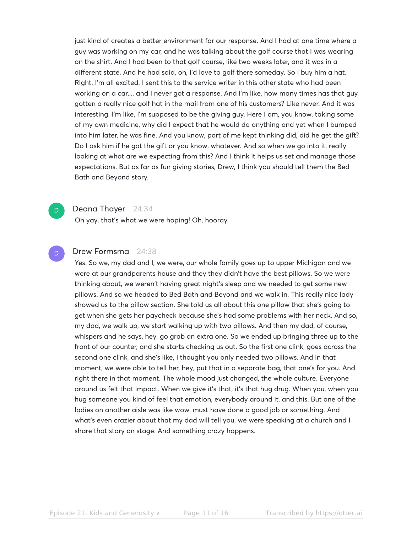just kind of creates a better environment for our response. And I had at one time where a guy was working on my car, and he was talking about the golf course that I was wearing on the shirt. And I had been to that golf course, like two weeks later, and it was in a different state. And he had said, oh, I'd love to golf there someday. So I buy him a hat. Right. I'm all excited. I sent this to the service writer in this other state who had been working on a car.... and I never got a response. And I'm like, how many times has that guy gotten a really nice golf hat in the mail from one of his customers? Like never. And it was interesting. I'm like, I'm supposed to be the giving guy. Here I am, you know, taking some of my own medicine, why did I expect that he would do anything and yet when I bumped into him later, he was fine. And you know, part of me kept thinking did, did he get the gift? Do I ask him if he got the gift or you know, whatever. And so when we go into it, really looking at what are we expecting from this? And I think it helps us set and manage those expectations. But as far as fun giving stories, Drew, I think you should tell them the Bed Bath and Beyond story.

# $\overline{\mathsf{D}}$

# Deana Thayer 24:34

Oh yay, that's what we were hoping! Oh, hooray.

#### Drew Formsma 24:38 D

Yes. So we, my dad and I, we were, our whole family goes up to upper Michigan and we were at our grandparents house and they they didn't have the best pillows. So we were thinking about, we weren't having great night's sleep and we needed to get some new pillows. And so we headed to Bed Bath and Beyond and we walk in. This really nice lady showed us to the pillow section. She told us all about this one pillow that she's going to get when she gets her paycheck because she's had some problems with her neck. And so, my dad, we walk up, we start walking up with two pillows. And then my dad, of course, whispers and he says, hey, go grab an extra one. So we ended up bringing three up to the front of our counter, and she starts checking us out. So the first one clink, goes across the second one clink, and she's like, I thought you only needed two pillows. And in that moment, we were able to tell her, hey, put that in a separate bag, that one's for you. And right there in that moment. The whole mood just changed, the whole culture. Everyone around us felt that impact. When we give it's that, it's that hug drug. When you, when you hug someone you kind of feel that emotion, everybody around it, and this. But one of the ladies on another aisle was like wow, must have done a good job or something. And what's even crazier about that my dad will tell you, we were speaking at a church and I share that story on stage. And something crazy happens.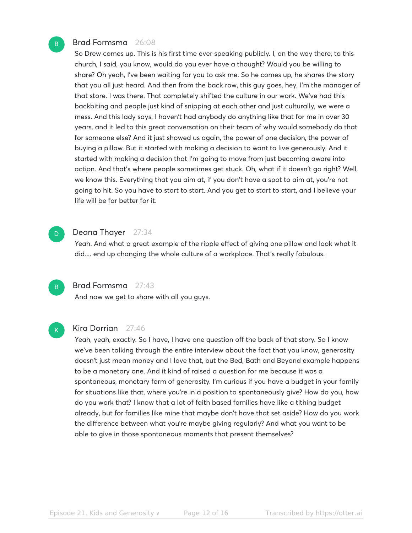# Brad Formsma 26:08

So Drew comes up. This is his first time ever speaking publicly. I, on the way there, to this church, I said, you know, would do you ever have a thought? Would you be willing to share? Oh yeah, I've been waiting for you to ask me. So he comes up, he shares the story that you all just heard. And then from the back row, this guy goes, hey, I'm the manager of that store. I was there. That completely shifted the culture in our work. We've had this backbiting and people just kind of snipping at each other and just culturally, we were a mess. And this lady says, I haven't had anybody do anything like that for me in over 30 years, and it led to this great conversation on their team of why would somebody do that for someone else? And it just showed us again, the power of one decision, the power of buying a pillow. But it started with making a decision to want to live generously. And it started with making a decision that I'm going to move from just becoming aware into action. And that's where people sometimes get stuck. Oh, what if it doesn't go right? Well, we know this. Everything that you aim at, if you don't have a spot to aim at, you're not going to hit. So you have to start to start. And you get to start to start, and I believe your life will be far better for it.

#### Deana Thayer 27:34

Yeah. And what a great example of the ripple effect of giving one pillow and look what it did.... end up changing the whole culture of a workplace. That's really fabulous.



 $\overline{D}$ 

B

# Brad Formsma 27:43

And now we get to share with all you guys.

 $K$ 

#### Kira Dorrian 27:46

Yeah, yeah, exactly. So I have, I have one question off the back of that story. So I know we've been talking through the entire interview about the fact that you know, generosity doesn't just mean money and I love that, but the Bed, Bath and Beyond example happens to be a monetary one. And it kind of raised a question for me because it was a spontaneous, monetary form of generosity. I'm curious if you have a budget in your family for situations like that, where you're in a position to spontaneously give? How do you, how do you work that? I know that a lot of faith based families have like a tithing budget already, but for families like mine that maybe don't have that set aside? How do you work the difference between what you're maybe giving regularly? And what you want to be able to give in those spontaneous moments that present themselves?

Episode 21. Kids and Generosity vecase Page 12 of 16 Transcribed by https://otter.ai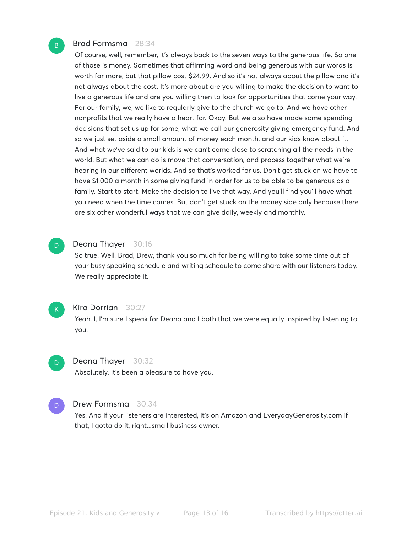# Brad Formsma 28:34

Of course, well, remember, it's always back to the seven ways to the generous life. So one of those is money. Sometimes that affirming word and being generous with our words is worth far more, but that pillow cost \$24.99. And so it's not always about the pillow and it's not always about the cost. It's more about are you willing to make the decision to want to live a generous life and are you willing then to look for opportunities that come your way. For our family, we, we like to regularly give to the church we go to. And we have other nonprofits that we really have a heart for. Okay. But we also have made some spending decisions that set us up for some, what we call our generosity giving emergency fund. And so we just set aside a small amount of money each month, and our kids know about it. And what we've said to our kids is we can't come close to scratching all the needs in the world. But what we can do is move that conversation, and process together what we're hearing in our different worlds. And so that's worked for us. Don't get stuck on we have to have \$1,000 a month in some giving fund in order for us to be able to be generous as a family. Start to start. Make the decision to live that way. And you'll find you'll have what you need when the time comes. But don't get stuck on the money side only because there are six other wonderful ways that we can give daily, weekly and monthly.

#### Deana Thayer 30:16

So true. Well, Brad, Drew, thank you so much for being willing to take some time out of your busy speaking schedule and writing schedule to come share with our listeners today. We really appreciate it.



D

D

B

#### Kira Dorrian 30:27

Yeah, I, I'm sure I speak for Deana and I both that we were equally inspired by listening to you.



Absolutely. It's been a pleasure to have you.

#### Drew Formsma 30:34 D

Yes. And if your listeners are interested, it's on Amazon and EverydayGenerosity.com if that, I gotta do it, right...small business owner.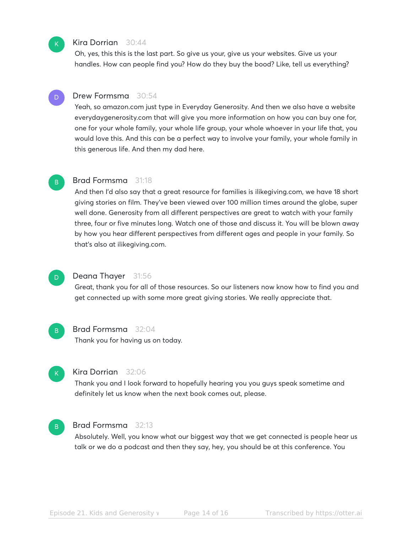

#### Kira Dorrian 30:44

Oh, yes, this this is the last part. So give us your, give us your websites. Give us your handles. How can people find you? How do they buy the bood? Like, tell us everything?

#### Drew Formsma 30:54 D

Yeah, so amazon.com just type in Everyday Generosity. And then we also have a website everydaygenerosity.com that will give you more information on how you can buy one for, one for your whole family, your whole life group, your whole whoever in your life that, you would love this. And this can be a perfect way to involve your family, your whole family in this generous life. And then my dad here.

#### Brad Formsma 31:18 B

And then I'd also say that a great resource for families is ilikegiving.com, we have 18 short giving stories on film. They've been viewed over 100 million times around the globe, super well done. Generosity from all different perspectives are great to watch with your family three, four or five minutes long. Watch one of those and discuss it. You will be blown away by how you hear different perspectives from different ages and people in your family. So that's also at ilikegiving.com.

## Deana Thayer 31:56

Great, thank you for all of those resources. So our listeners now know how to find you and get connected up with some more great giving stories. We really appreciate that.

B

D

#### Brad Formsma 32:04

Thank you for having us on today.



## Kira Dorrian 32:06

Thank you and I look forward to hopefully hearing you you guys speak sometime and definitely let us know when the next book comes out, please.

#### Brad Formsma 32:13 B

Absolutely. Well, you know what our biggest way that we get connected is people hear us talk or we do a podcast and then they say, hey, you should be at this conference. You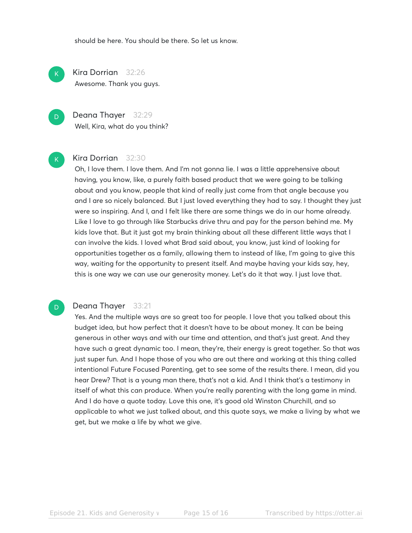should be here. You should be there. So let us know.

Kira Dorrian 32:26 Awesome. Thank you guys.

Deana Thayer 32:29 Well, Kira, what do you think?

# Kira Dorrian 32:30

Oh, I love them. I love them. And I'm not gonna lie. I was a little apprehensive about having, you know, like, a purely faith based product that we were going to be talking about and you know, people that kind of really just come from that angle because you and I are so nicely balanced. But I just loved everything they had to say. I thought they just were so inspiring. And I, and I felt like there are some things we do in our home already. Like I love to go through like Starbucks drive thru and pay for the person behind me. My kids love that. But it just got my brain thinking about all these different little ways that I can involve the kids. I loved what Brad said about, you know, just kind of looking for opportunities together as a family, allowing them to instead of like, I'm going to give this way, waiting for the opportunity to present itself. And maybe having your kids say, hey, this is one way we can use our generosity money. Let's do it that way. I just love that.

# D

 $\mathsf{K}_{\scriptscriptstyle{+}}$ 

D

 $\mathsf{K}_{\scriptscriptstyle{+}}$ 

#### Deana Thayer 33:21

Yes. And the multiple ways are so great too for people. I love that you talked about this budget idea, but how perfect that it doesn't have to be about money. It can be being generous in other ways and with our time and attention, and that's just great. And they have such a great dynamic too. I mean, they're, their energy is great together. So that was just super fun. And I hope those of you who are out there and working at this thing called intentional Future Focused Parenting, get to see some of the results there. I mean, did you hear Drew? That is a young man there, that's not a kid. And I think that's a testimony in itself of what this can produce. When you're really parenting with the long game in mind. And I do have a quote today. Love this one, it's good old Winston Churchill, and so applicable to what we just talked about, and this quote says, we make a living by what we get, but we make a life by what we give.